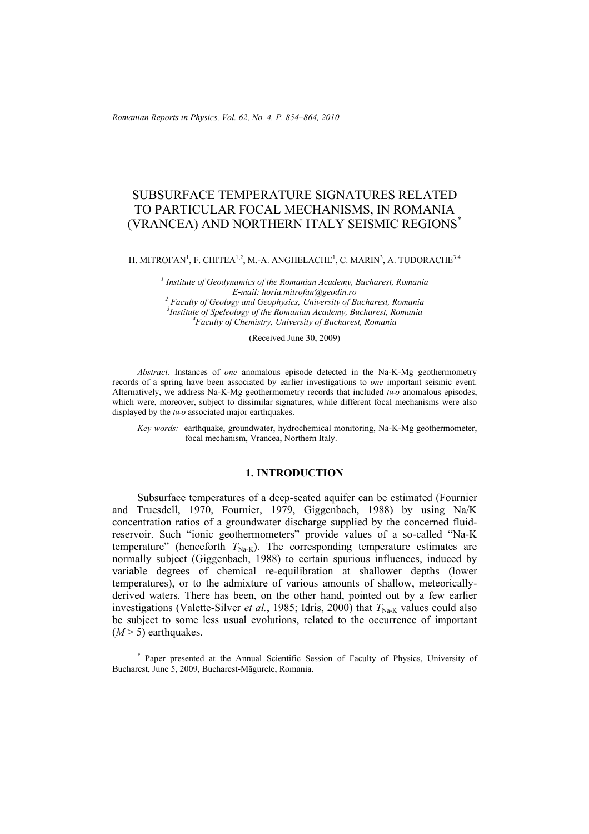*Romanian Reports in Physics, Vol. 62, No. 4, P. 854–864, 2010*

# SUBSURFACE TEMPERATURE SIGNATURES RELATED TO PARTICULAR FOCAL MECHANISMS, IN ROMANIA (VRANCEA) AND NORTHERN ITALY SEISMIC REGIONS\*

H. MITROFAN $^{\rm l}$ , F. CHITEA $^{\rm l,2}$ , M.-A. ANGHELACHE $^{\rm l}$ , C. MARIN $^{\rm 3}$ , A. TUDORACHE $^{\rm 3,4}$ 

*1 Institute of Geodynamics of the Romanian Academy, Bucharest, Romania E-mail: horia.mitrofan@geodin.ro 2 Faculty of Geology and Geophysics, University of Bucharest, Romania 3 Institute of Speleology of the Romanian Academy, Bucharest, Romania 4 Faculty of Chemistry, University of Bucharest, Romania*

(Received June 30, 2009)

*Abstract.* Instances of *one* anomalous episode detected in the Na-K-Mg geothermometry records of a spring have been associated by earlier investigations to *one* important seismic event. Alternatively, we address Na-K-Mg geothermometry records that included *two* anomalous episodes, which were, moreover, subject to dissimilar signatures, while different focal mechanisms were also displayed by the *two* associated major earthquakes.

*Key words:* earthquake, groundwater, hydrochemical monitoring, Na-K-Mg geothermometer, focal mechanism, Vrancea, Northern Italy.

# **1. INTRODUCTION**

Subsurface temperatures of a deep-seated aquifer can be estimated (Fournier and Truesdell, 1970, Fournier, 1979, Giggenbach, 1988) by using Na/K concentration ratios of a groundwater discharge supplied by the concerned fluidreservoir. Such "ionic geothermometers" provide values of a so-called "Na-K temperature" (henceforth  $T_{\text{Na-K}}$ ). The corresponding temperature estimates are normally subject (Giggenbach, 1988) to certain spurious influences, induced by variable degrees of chemical re-equilibration at shallower depths (lower temperatures), or to the admixture of various amounts of shallow, meteoricallyderived waters. There has been, on the other hand, pointed out by a few earlier investigations (Valette-Silver *et al.*, 1985; Idris, 2000) that  $T_{N_a,K}$  values could also be subject to some less usual evolutions, related to the occurrence of important  $(M > 5)$  earthquakes.

 <sup>\*</sup> Paper presented at the Annual Scientific Session of Faculty of Physics, University of Bucharest, June 5, 2009, Bucharest-Măgurele, Romania.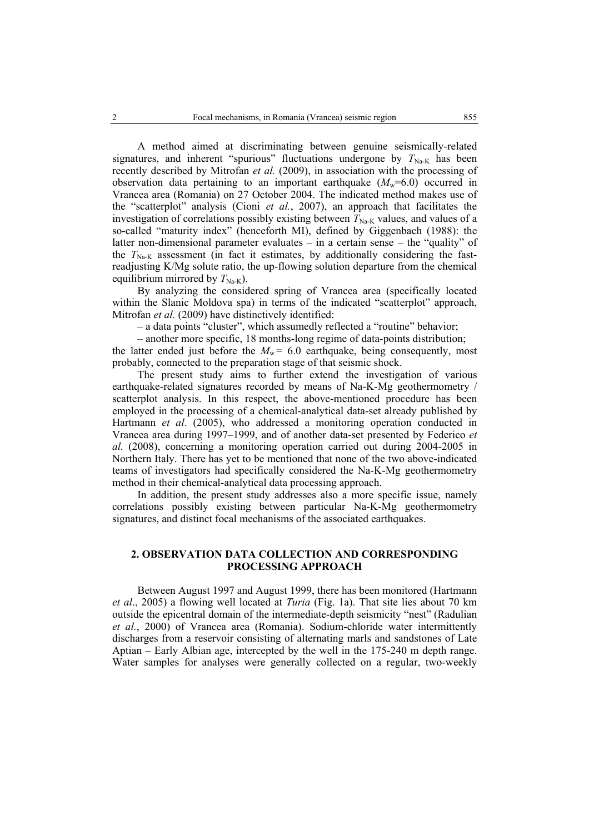A method aimed at discriminating between genuine seismically-related signatures, and inherent "spurious" fluctuations undergone by  $T_{\text{Na-K}}$  has been recently described by Mitrofan *et al.* (2009), in association with the processing of observation data pertaining to an important earthquake  $(M_w=6.0)$  occurred in Vrancea area (Romania) on 27 October 2004. The indicated method makes use of the "scatterplot" analysis (Cioni *et al.*, 2007), an approach that facilitates the investigation of correlations possibly existing between  $T_{\text{Na-K}}$  values, and values of a so-called "maturity index" (henceforth MI), defined by Giggenbach (1988): the latter non-dimensional parameter evaluates – in a certain sense – the "quality" of the  $T_{\text{Na-K}}$  assessment (in fact it estimates, by additionally considering the fastreadjusting K/Mg solute ratio, the up-flowing solution departure from the chemical equilibrium mirrored by  $T_{\text{Na-K}}$ ).

By analyzing the considered spring of Vrancea area (specifically located within the Slanic Moldova spa) in terms of the indicated "scatterplot" approach, Mitrofan *et al.* (2009) have distinctively identified:

– a data points "cluster", which assumedly reflected a "routine" behavior;

– another more specific, 18 months-long regime of data-points distribution; the latter ended just before the  $M_w = 6.0$  earthquake, being consequently, most probably, connected to the preparation stage of that seismic shock.

The present study aims to further extend the investigation of various earthquake-related signatures recorded by means of Na-K-Mg geothermometry / scatterplot analysis. In this respect, the above-mentioned procedure has been employed in the processing of a chemical-analytical data-set already published by Hartmann *et al*. (2005), who addressed a monitoring operation conducted in Vrancea area during 1997–1999, and of another data-set presented by Federico *et al.* (2008), concerning a monitoring operation carried out during 2004-2005 in Northern Italy. There has yet to be mentioned that none of the two above-indicated teams of investigators had specifically considered the Na-K-Mg geothermometry method in their chemical-analytical data processing approach.

In addition, the present study addresses also a more specific issue, namely correlations possibly existing between particular Na-K-Mg geothermometry signatures, and distinct focal mechanisms of the associated earthquakes.

# **2. OBSERVATION DATA COLLECTION AND CORRESPONDING PROCESSING APPROACH**

Between August 1997 and August 1999, there has been monitored (Hartmann *et al*., 2005) a flowing well located at *Turia* (Fig. 1a). That site lies about 70 km outside the epicentral domain of the intermediate-depth seismicity "nest" (Radulian *et al.*, 2000) of Vrancea area (Romania). Sodium-chloride water intermittently discharges from a reservoir consisting of alternating marls and sandstones of Late Aptian – Early Albian age, intercepted by the well in the 175-240 m depth range. Water samples for analyses were generally collected on a regular, two-weekly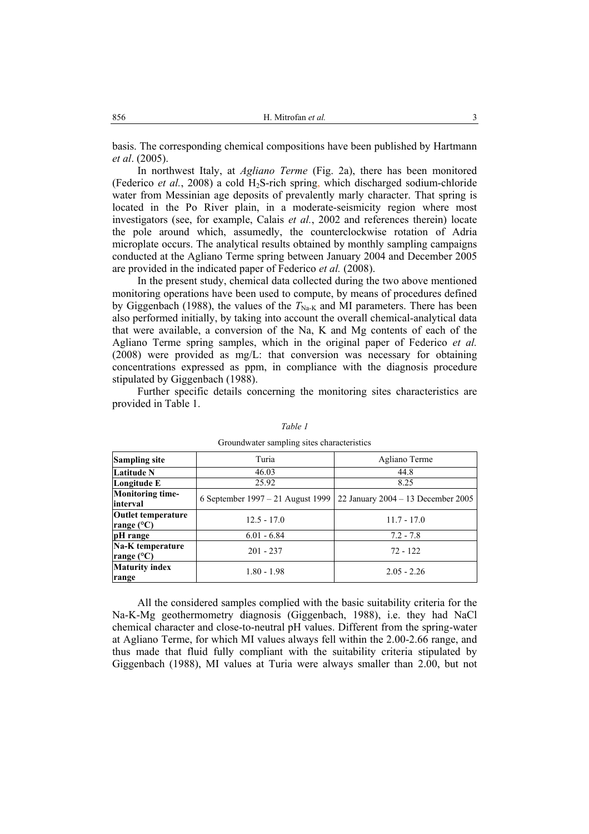basis. The corresponding chemical compositions have been published by Hartmann *et al*. (2005).

In northwest Italy, at *Agliano Terme* (Fig. 2a), there has been monitored (Federico *et al.*, 2008) a cold H<sub>2</sub>S-rich spring, which discharged sodium-chloride water from Messinian age deposits of prevalently marly character. That spring is located in the Po River plain, in a moderate-seismicity region where most investigators (see, for example, Calais *et al.*, 2002 and references therein) locate the pole around which, assumedly, the counterclockwise rotation of Adria microplate occurs. The analytical results obtained by monthly sampling campaigns conducted at the Agliano Terme spring between January 2004 and December 2005 are provided in the indicated paper of Federico *et al.* (2008).

In the present study, chemical data collected during the two above mentioned monitoring operations have been used to compute, by means of procedures defined by Giggenbach (1988), the values of the  $T_{\text{Na-K}}$  and MI parameters. There has been also performed initially, by taking into account the overall chemical-analytical data that were available, a conversion of the Na, K and Mg contents of each of the Agliano Terme spring samples, which in the original paper of Federico *et al.* (2008) were provided as mg/L: that conversion was necessary for obtaining concentrations expressed as ppm, in compliance with the diagnosis procedure stipulated by Giggenbach (1988).

Further specific details concerning the monitoring sites characteristics are provided in Table 1.

| <b>Sampling site</b>                             | Turia                             | Agliano Terme                        |  |  |
|--------------------------------------------------|-----------------------------------|--------------------------------------|--|--|
| Latitude N                                       | 46.03                             | 44.8                                 |  |  |
| Longitude E                                      | 25.92                             | 8.25                                 |  |  |
| <b>Monitoring time-</b><br>interval              | 6 September 1997 – 21 August 1999 | 22 January $2004 - 13$ December 2005 |  |  |
| <b>Outlet temperature</b><br>range $(^{\circ}C)$ | $12.5 - 17.0$                     | $11.7 - 17.0$                        |  |  |
| pH range                                         | $6.01 - 6.84$                     | $7.2 - 7.8$                          |  |  |
| Na-K temperature<br>range $(^{\circ}C)$          | $201 - 237$                       | $72 - 122$                           |  |  |
| <b>Maturity index</b><br>range                   | $1.80 - 1.98$                     | $2.05 - 2.26$                        |  |  |

*Table 1* 

#### Groundwater sampling sites characteristics

All the considered samples complied with the basic suitability criteria for the Na-K-Mg geothermometry diagnosis (Giggenbach, 1988), i.e. they had NaCl chemical character and close-to-neutral pH values. Different from the spring-water at Agliano Terme, for which MI values always fell within the 2.00-2.66 range, and thus made that fluid fully compliant with the suitability criteria stipulated by Giggenbach (1988), MI values at Turia were always smaller than 2.00, but not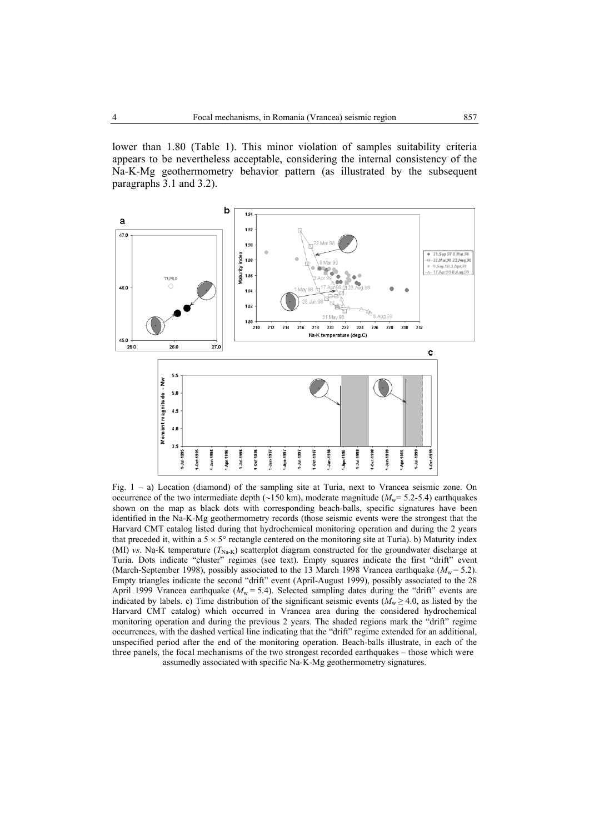lower than 1.80 (Table 1). This minor violation of samples suitability criteria appears to be nevertheless acceptable, considering the internal consistency of the Na-K-Mg geothermometry behavior pattern (as illustrated by the subsequent paragraphs 3.1 and 3.2).



Fig. 1 – a) Location (diamond) of the sampling site at Turia, next to Vrancea seismic zone. On occurrence of the two intermediate depth (∼150 km), moderate magnitude ( $M<sub>w</sub>$ = 5.2-5.4) earthquakes shown on the map as black dots with corresponding beach-balls, specific signatures have been identified in the Na-K-Mg geothermometry records (those seismic events were the strongest that the Harvard CMT catalog listed during that hydrochemical monitoring operation and during the 2 years that preceded it, within a  $5 \times 5^{\circ}$  rectangle centered on the monitoring site at Turia). b) Maturity index (MI) *vs*. Na-K temperature ( $T_{\text{Na-K}}$ ) scatterplot diagram constructed for the groundwater discharge at Turia. Dots indicate "cluster" regimes (see text). Empty squares indicate the first "drift" event (March-September 1998), possibly associated to the 13 March 1998 Vrancea earthquake  $(M_w = 5.2)$ . Empty triangles indicate the second "drift" event (April-August 1999), possibly associated to the 28 April 1999 Vrancea earthquake ( $M_w = 5.4$ ). Selected sampling dates during the "drift" events are indicated by labels. c) Time distribution of the significant seismic events ( $M_w \ge 4.0$ , as listed by the Harvard CMT catalog) which occurred in Vrancea area during the considered hydrochemical monitoring operation and during the previous 2 years. The shaded regions mark the "drift" regime occurrences, with the dashed vertical line indicating that the "drift" regime extended for an additional, unspecified period after the end of the monitoring operation. Beach-balls illustrate, in each of the three panels, the focal mechanisms of the two strongest recorded earthquakes – those which were assumedly associated with specific Na-K-Mg geothermometry signatures.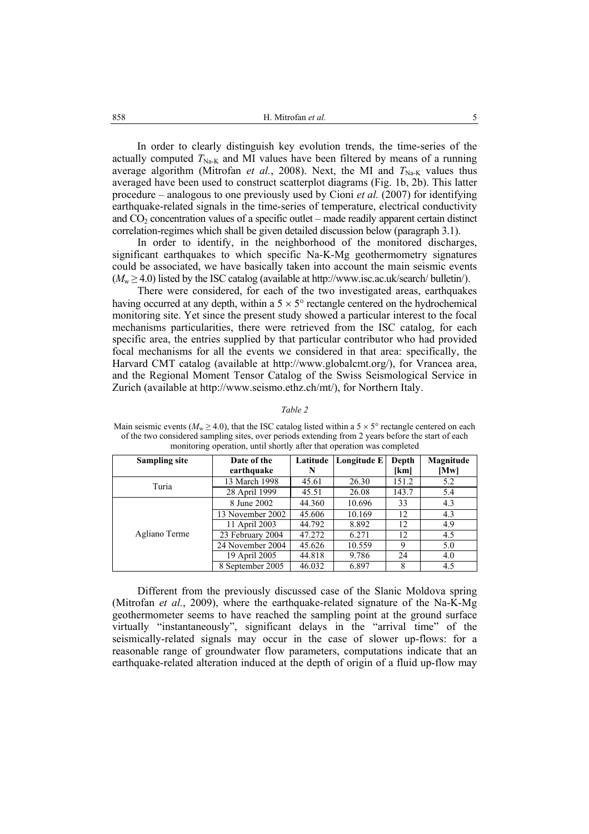In order to clearly distinguish key evolution trends, the time-series of the actually computed  $T_{\text{Na-K}}$  and MI values have been filtered by means of a running average algorithm (Mitrofan *et al.*, 2008). Next, the MI and  $T_{\text{Na-K}}$  values thus averaged have been used to construct scatterplot diagrams (Fig. 1b, 2b). This latter procedure – analogous to one previously used by Cioni *et al.* (2007) for identifying earthquake-related signals in the time-series of temperature, electrical conductivity and  $CO<sub>2</sub>$  concentration values of a specific outlet – made readily apparent certain distinct correlation-regimes which shall be given detailed discussion below (paragraph 3.1).

In order to identify, in the neighborhood of the monitored discharges, significant earthquakes to which specific Na-K-Mg geothermometry signatures could be associated, we have basically taken into account the main seismic events  $(M_w \geq 4.0)$  listed by the ISC catalog (available at http://www.isc.ac.uk/search/ bulletin/).

There were considered, for each of the two investigated areas, earthquakes having occurred at any depth, within a  $5 \times 5^{\circ}$  rectangle centered on the hydrochemical monitoring site. Yet since the present study showed a particular interest to the focal mechanisms particularities, there were retrieved from the ISC catalog, for each specific area, the entries supplied by that particular contributor who had provided focal mechanisms for all the events we considered in that area: specifically, the Harvard CMT catalog (available at http://www.globalcmt.org/), for Vrancea area, and the Regional Moment Tensor Catalog of the Swiss Seismological Service in Zurich (available at http://www.seismo.ethz.ch/mt/), for Northern Italy.

#### *Table 2*

Main seismic events ( $M_w \ge 4.0$ ), that the ISC catalog listed within a 5  $\times$  5° rectangle centered on each of the two considered sampling sites, over periods extending from 2 years before the start of each monitoring operation, until shortly after that operation was completed

| <b>Sampling site</b> | Date of the<br>earthquake | Latitude<br>N | Longitude E | Depth<br>[km] | Magnitude<br>[Mw] |
|----------------------|---------------------------|---------------|-------------|---------------|-------------------|
| Turia                | 13 March 1998             | 45.61         | 26.30       | 151.2         | 5.2               |
|                      | 28 April 1999             | 45.51         | 26.08       | 143.7         | 5.4               |
|                      | 8 June 2002               | 44.360        | 10.696      | 33            | 4.3               |
|                      | 13 November 2002          | 45.606        | 10.169      | 12            | 4.3               |
|                      | 11 April 2003             | 44.792        | 8.892       | 12            | 4.9               |
| Agliano Terme        | 23 February 2004          | 47.272        | 6.271       | 12            | 4.5               |
|                      | 24 November 2004          | 45.626        | 10.559      | 9             | 5.0               |
|                      | 19 April 2005             | 44.818        | 9.786       | 24            | 4.0               |
|                      | 8 September 2005          | 46.032        | 6.897       | 8             | 4.5               |

Different from the previously discussed case of the Slanic Moldova spring (Mitrofan *et al.*, 2009), where the earthquake-related signature of the Na-K-Mg geothermometer seems to have reached the sampling point at the ground surface virtually "instantaneously", significant delays in the "arrival time" of the seismically-related signals may occur in the case of slower up-flows: for a reasonable range of groundwater flow parameters, computations indicate that an earthquake-related alteration induced at the depth of origin of a fluid up-flow may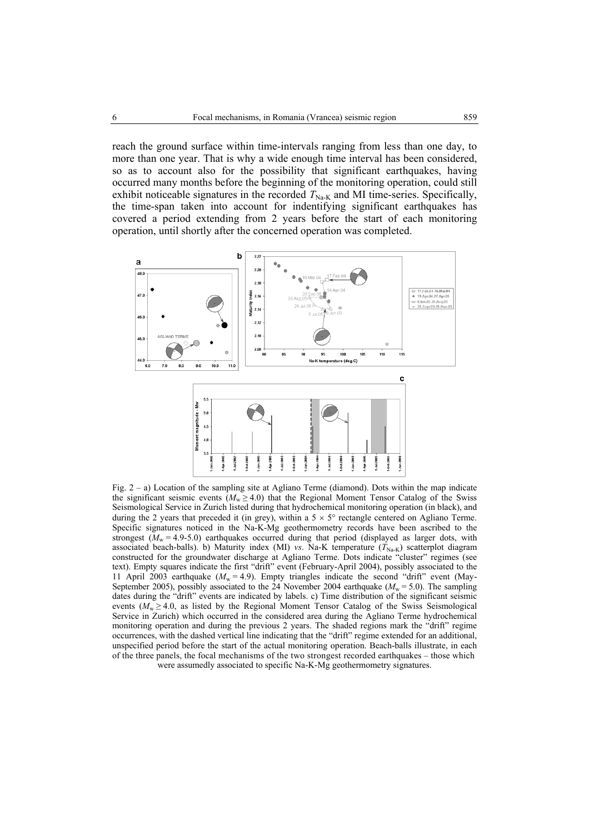reach the ground surface within time-intervals ranging from less than one day, to more than one year. That is why a wide enough time interval has been considered, so as to account also for the possibility that significant earthquakes, having occurred many months before the beginning of the monitoring operation, could still exhibit noticeable signatures in the recorded  $T_{\text{Na-K}}$  and MI time-series. Specifically, the time-span taken into account for indentifying significant earthquakes has covered a period extending from 2 years before the start of each monitoring operation, until shortly after the concerned operation was completed.



Fig. 2 – a) Location of the sampling site at Agliano Terme (diamond). Dots within the map indicate the significant seismic events ( $M_w \ge 4.0$ ) that the Regional Moment Tensor Catalog of the Swiss Seismological Service in Zurich listed during that hydrochemical monitoring operation (in black), and during the 2 years that preceded it (in grey), within a  $5 \times 5^{\circ}$  rectangle centered on Agliano Terme. Specific signatures noticed in the Na-K-Mg geothermometry records have been ascribed to the strongest  $(M_w = 4.9 - 5.0)$  earthquakes occurred during that period (displayed as larger dots, with associated beach-balls). b) Maturity index (MI) *vs*. Na-K temperature  $(T_{\text{Na-K}})$  scatterplot diagram constructed for the groundwater discharge at Agliano Terme. Dots indicate "cluster" regimes (see text). Empty squares indicate the first "drift" event (February-April 2004), possibly associated to the 11 April 2003 earthquake ( $M_w = 4.9$ ). Empty triangles indicate the second "drift" event (May-September 2005), possibly associated to the 24 November 2004 earthquake ( $M_w = 5.0$ ). The sampling dates during the "drift" events are indicated by labels. c) Time distribution of the significant seismic events  $(M_w \ge 4.0)$ , as listed by the Regional Moment Tensor Catalog of the Swiss Seismological Service in Zurich) which occurred in the considered area during the Agliano Terme hydrochemical monitoring operation and during the previous 2 years. The shaded regions mark the "drift" regime occurrences, with the dashed vertical line indicating that the "drift" regime extended for an additional, unspecified period before the start of the actual monitoring operation. Beach-balls illustrate, in each of the three panels, the focal mechanisms of the two strongest recorded earthquakes – those which were assumedly associated to specific Na-K-Mg geothermometry signatures.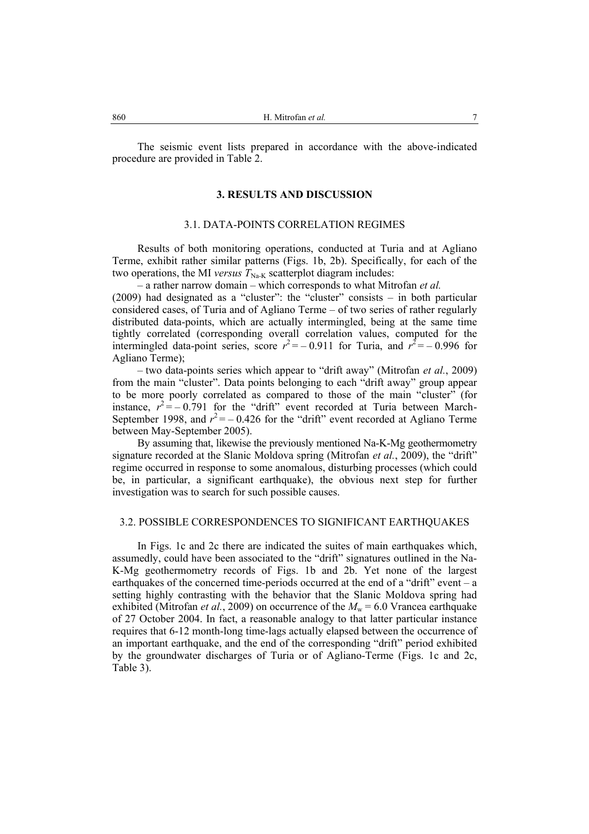The seismic event lists prepared in accordance with the above-indicated procedure are provided in Table 2.

# **3. RESULTS AND DISCUSSION**

# 3.1. DATA-POINTS CORRELATION REGIMES

Results of both monitoring operations, conducted at Turia and at Agliano Terme, exhibit rather similar patterns (Figs. 1b, 2b). Specifically, for each of the two operations, the MI *versus*  $T_{\text{Na-K}}$  scatterplot diagram includes:

– a rather narrow domain – which corresponds to what Mitrofan *et al.*

(2009) had designated as a "cluster": the "cluster" consists – in both particular considered cases, of Turia and of Agliano Terme – of two series of rather regularly distributed data-points, which are actually intermingled, being at the same time tightly correlated (corresponding overall correlation values, computed for the intermingled data-point series, score  $r^2 = -0.911$  for Turia, and  $r^2 = -0.996$  for Agliano Terme);

– two data-points series which appear to "drift away" (Mitrofan *et al.*, 2009) from the main "cluster". Data points belonging to each "drift away" group appear to be more poorly correlated as compared to those of the main "cluster" (for instance,  $r^2 = -0.791$  for the "drift" event recorded at Turia between March-September 1998, and  $r^2 = -0.426$  for the "drift" event recorded at Agliano Terme between May-September 2005).

By assuming that, likewise the previously mentioned Na-K-Mg geothermometry signature recorded at the Slanic Moldova spring (Mitrofan *et al.*, 2009), the "drift" regime occurred in response to some anomalous, disturbing processes (which could be, in particular, a significant earthquake), the obvious next step for further investigation was to search for such possible causes.

#### 3.2. POSSIBLE CORRESPONDENCES TO SIGNIFICANT EARTHQUAKES

In Figs. 1c and 2c there are indicated the suites of main earthquakes which, assumedly, could have been associated to the "drift" signatures outlined in the Na-K-Mg geothermometry records of Figs. 1b and 2b. Yet none of the largest earthquakes of the concerned time-periods occurred at the end of a "drift" event – a setting highly contrasting with the behavior that the Slanic Moldova spring had exhibited (Mitrofan *et al.*, 2009) on occurrence of the  $M_w = 6.0$  Vrancea earthquake of 27 October 2004. In fact, a reasonable analogy to that latter particular instance requires that 6-12 month-long time-lags actually elapsed between the occurrence of an important earthquake, and the end of the corresponding "drift" period exhibited by the groundwater discharges of Turia or of Agliano-Terme (Figs. 1c and 2c, Table 3).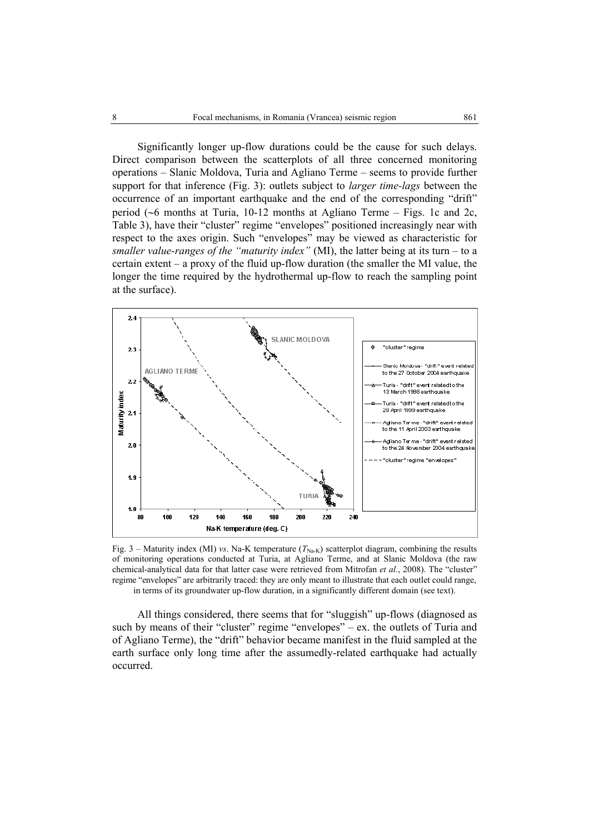Significantly longer up-flow durations could be the cause for such delays. Direct comparison between the scatterplots of all three concerned monitoring operations – Slanic Moldova, Turia and Agliano Terme – seems to provide further support for that inference (Fig. 3): outlets subject to *larger time-lags* between the occurrence of an important earthquake and the end of the corresponding "drift" period (∼6 months at Turia, 10-12 months at Agliano Terme – Figs. 1c and 2c, Table 3), have their "cluster" regime "envelopes" positioned increasingly near with respect to the axes origin. Such "envelopes" may be viewed as characteristic for *smaller value-ranges of the "maturity index"* (MI), the latter being at its turn – to a certain extent – a proxy of the fluid up-flow duration (the smaller the MI value, the longer the time required by the hydrothermal up-flow to reach the sampling point at the surface).



Fig. 3 – Maturity index (MI) *vs*. Na-K temperature  $(T_{\text{Na-K}})$  scatterplot diagram, combining the results of monitoring operations conducted at Turia, at Agliano Terme, and at Slanic Moldova (the raw chemical-analytical data for that latter case were retrieved from Mitrofan *et al.*, 2008). The "cluster" regime "envelopes" are arbitrarily traced: they are only meant to illustrate that each outlet could range, in terms of its groundwater up-flow duration, in a significantly different domain (see text).

All things considered, there seems that for "sluggish" up-flows (diagnosed as such by means of their "cluster" regime "envelopes" – ex. the outlets of Turia and of Agliano Terme), the "drift" behavior became manifest in the fluid sampled at the earth surface only long time after the assumedly-related earthquake had actually occurred.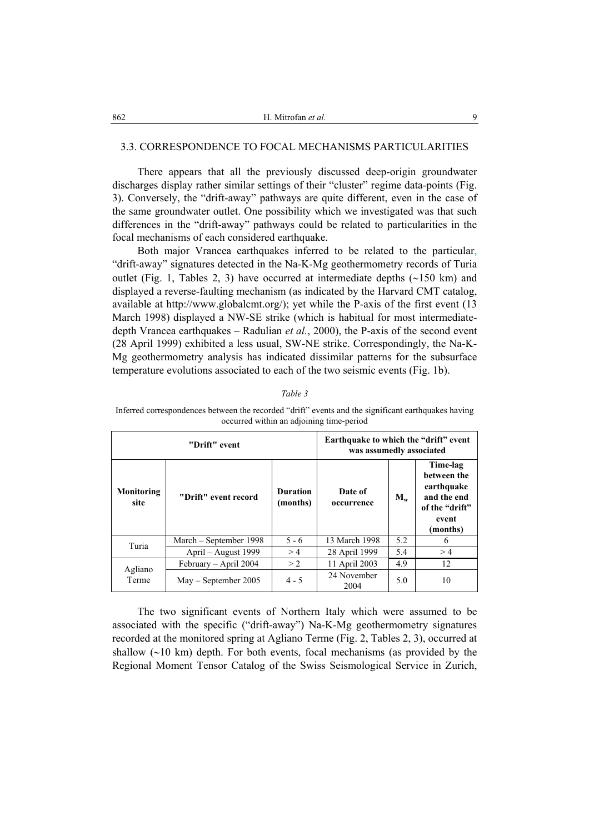## 3.3. CORRESPONDENCE TO FOCAL MECHANISMS PARTICULARITIES

There appears that all the previously discussed deep-origin groundwater discharges display rather similar settings of their "cluster" regime data-points (Fig. 3). Conversely, the "drift-away" pathways are quite different, even in the case of the same groundwater outlet. One possibility which we investigated was that such differences in the "drift-away" pathways could be related to particularities in the focal mechanisms of each considered earthquake.

Both major Vrancea earthquakes inferred to be related to the particular, "drift-away" signatures detected in the Na-K-Mg geothermometry records of Turia outlet (Fig. 1, Tables 2, 3) have occurred at intermediate depths (∼150 km) and displayed a reverse-faulting mechanism (as indicated by the Harvard CMT catalog, available at http://www.globalcmt.org/); yet while the P-axis of the first event (13 March 1998) displayed a NW-SE strike (which is habitual for most intermediatedepth Vrancea earthquakes – Radulian *et al.*, 2000), the P-axis of the second event (28 April 1999) exhibited a less usual, SW-NE strike. Correspondingly, the Na-K-Mg geothermometry analysis has indicated dissimilar patterns for the subsurface temperature evolutions associated to each of the two seismic events (Fig. 1b).

*Table 3* 

Inferred correspondences between the recorded "drift" events and the significant earthquakes having occurred within an adjoining time-period

| "Drift" event             |                        |                             | Earthquake to which the "drift" event<br>was assumedly associated |         |                                                                                             |
|---------------------------|------------------------|-----------------------------|-------------------------------------------------------------------|---------|---------------------------------------------------------------------------------------------|
| <b>Monitoring</b><br>site | "Drift" event record   | <b>Duration</b><br>(months) | Date of<br>occurrence                                             | $M_{w}$ | Time-lag<br>between the<br>earthquake<br>and the end<br>of the "drift"<br>event<br>(months) |
| Turia                     | March – September 1998 | $5 - 6$                     | 13 March 1998                                                     | 5.2     | 6                                                                                           |
|                           | April – August 1999    | >4                          | 28 April 1999                                                     | 5.4     | >4                                                                                          |
| Agliano<br>Terme          | February - April 2004  | > 2                         | 11 April 2003                                                     | 4.9     | 12                                                                                          |
|                           | $May - September 2005$ | $4 - 5$                     | 24 November<br>2004                                               | 5.0     | 10                                                                                          |

The two significant events of Northern Italy which were assumed to be associated with the specific ("drift-away") Na-K-Mg geothermometry signatures recorded at the monitored spring at Agliano Terme (Fig. 2, Tables 2, 3), occurred at shallow (∼10 km) depth. For both events, focal mechanisms (as provided by the Regional Moment Tensor Catalog of the Swiss Seismological Service in Zurich,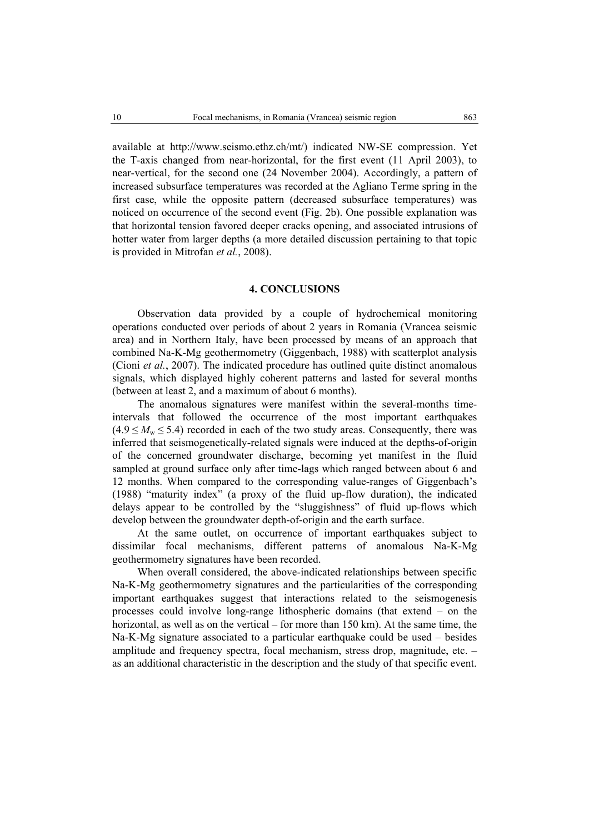available at http://www.seismo.ethz.ch/mt/) indicated NW-SE compression. Yet the T-axis changed from near-horizontal, for the first event (11 April 2003), to near-vertical, for the second one (24 November 2004). Accordingly, a pattern of increased subsurface temperatures was recorded at the Agliano Terme spring in the first case, while the opposite pattern (decreased subsurface temperatures) was noticed on occurrence of the second event (Fig. 2b). One possible explanation was that horizontal tension favored deeper cracks opening, and associated intrusions of hotter water from larger depths (a more detailed discussion pertaining to that topic is provided in Mitrofan *et al.*, 2008).

#### **4. CONCLUSIONS**

Observation data provided by a couple of hydrochemical monitoring operations conducted over periods of about 2 years in Romania (Vrancea seismic area) and in Northern Italy, have been processed by means of an approach that combined Na-K-Mg geothermometry (Giggenbach, 1988) with scatterplot analysis (Cioni *et al.*, 2007). The indicated procedure has outlined quite distinct anomalous signals, which displayed highly coherent patterns and lasted for several months (between at least 2, and a maximum of about 6 months).

The anomalous signatures were manifest within the several-months timeintervals that followed the occurrence of the most important earthquakes  $(4.9 \leq M_{\rm w} \leq 5.4)$  recorded in each of the two study areas. Consequently, there was inferred that seismogenetically-related signals were induced at the depths-of-origin of the concerned groundwater discharge, becoming yet manifest in the fluid sampled at ground surface only after time-lags which ranged between about 6 and 12 months. When compared to the corresponding value-ranges of Giggenbach's (1988) "maturity index" (a proxy of the fluid up-flow duration), the indicated delays appear to be controlled by the "sluggishness" of fluid up-flows which develop between the groundwater depth-of-origin and the earth surface.

At the same outlet, on occurrence of important earthquakes subject to dissimilar focal mechanisms, different patterns of anomalous Na-K-Mg geothermometry signatures have been recorded.

When overall considered, the above-indicated relationships between specific Na-K-Mg geothermometry signatures and the particularities of the corresponding important earthquakes suggest that interactions related to the seismogenesis processes could involve long-range lithospheric domains (that extend – on the horizontal, as well as on the vertical – for more than 150 km). At the same time, the Na-K-Mg signature associated to a particular earthquake could be used – besides amplitude and frequency spectra, focal mechanism, stress drop, magnitude, etc. – as an additional characteristic in the description and the study of that specific event.